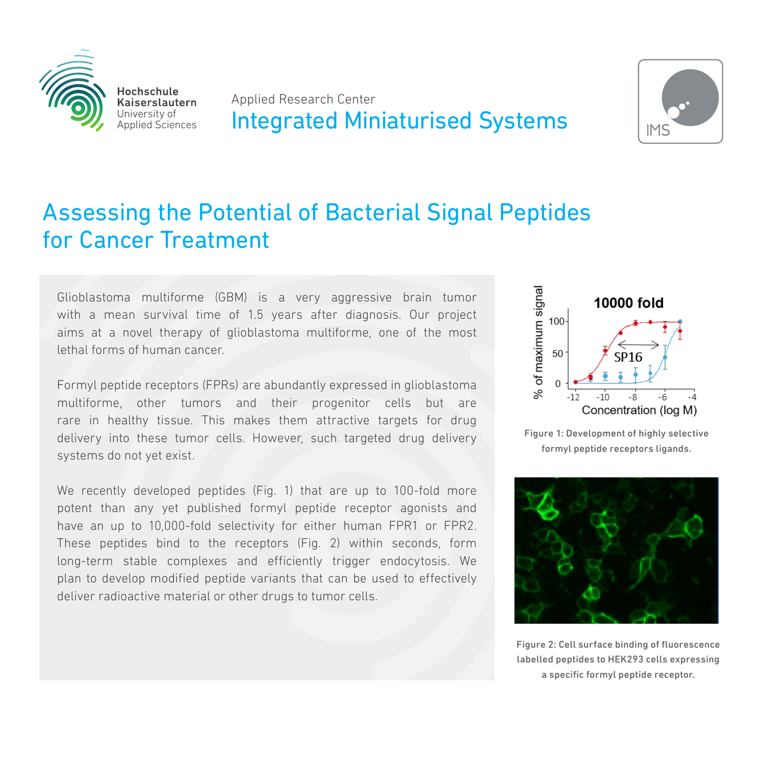

Applied Research Center **Integrated Miniaturised Systems** 



# Assessing the Potential of Bacterial Signal Peptides for Cancer Treatment

Glioblastoma multiforme (GBM) is a very aggressive brain tumor with a mean survival time of 1.5 years after diagnosis. Our project aims at a novel therapy of glioblastoma multiforme, one of the most lethal forms of human cancer.

Formyl peptide receptors (FPRs) are abundantly expressed in glioblastoma multiforme, other tumors and their progenitor cells but are rare in healthy tissue. This makes them attractive targets for drug delivery into these tumor cells. However, such targeted drug delivery systems do not yet exist.

We recently developed peptides (Fig. 1) that are up to 100-fold more potent than any yet published formyl peptide receptor agonists and have an up to 10,000-fold selectivity for either human FPR1 or FPR2. These peptides bind to the receptors (Fig. 2) within seconds, form long-term stable complexes and efficiently trigger endocytosis. We plan to develop modified peptide variants that can be used to effectively deliver radioactive material or other drugs to tumor cells.



Figure 1: Development of highly selective formyl peptide receptors ligands.



Figure 2: Cell surface binding of fluorescence labelled peptides to HEK293 cells expressing a specific formyl peptide receptor.